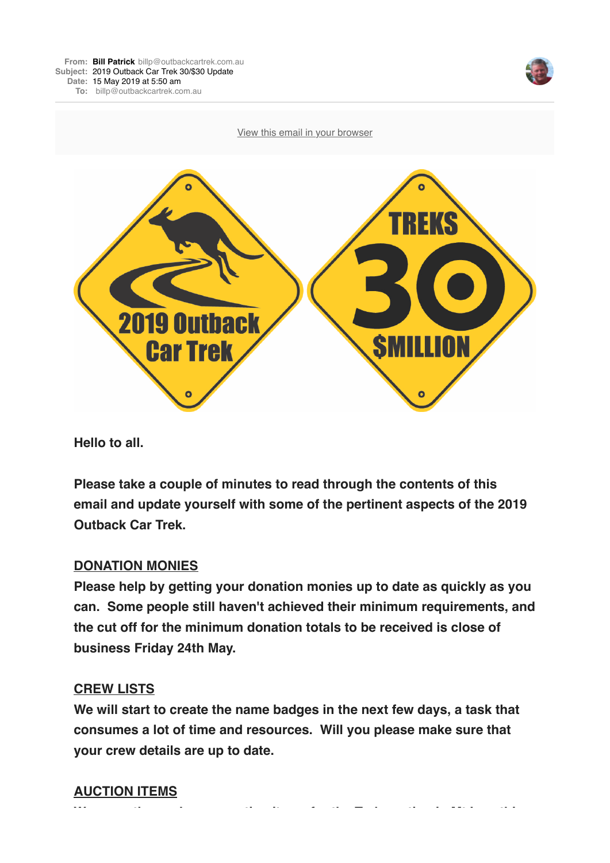



**Hello to all.**

**Please take a couple of minutes to read through the contents of this email and update yourself with some of the pertinent aspects of the 2019 Outback Car Trek.**

### **DONATION MONIES**

**Please help by getting your donation monies up to date as quickly as you can. Some people still haven't achieved their minimum requirements, and the cut off for the minimum donation totals to be received is close of business Friday 24th May.**

#### **CREW LISTS**

**We will start to create the name badges in the next few days, a task that consumes a lot of time and resources. Will you please make sure that your crew details are up to date.**

**We urgently need more auction items for the Trek auction in Mt Isa - this**

### **AUCTION ITEMS**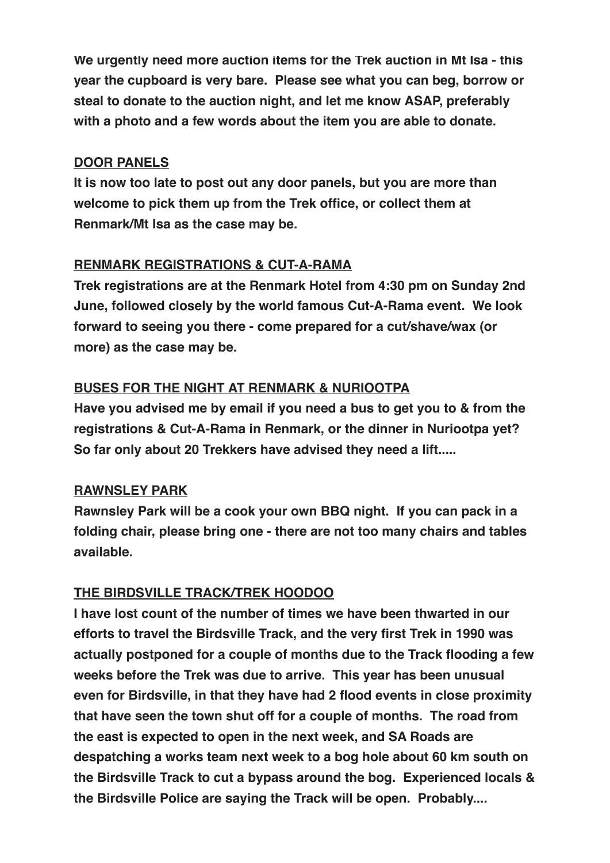**We urgently need more auction items for the Trek auction in Mt Isa - this year the cupboard is very bare. Please see what you can beg, borrow or steal to donate to the auction night, and let me know ASAP, preferably with a photo and a few words about the item you are able to donate.**

#### **DOOR PANELS**

**It is now too late to post out any door panels, but you are more than welcome to pick them up from the Trek office, or collect them at Renmark/Mt Isa as the case may be.** 

### **RENMARK REGISTRATIONS & CUT-A-RAMA**

**Trek registrations are at the Renmark Hotel from 4:30 pm on Sunday 2nd June, followed closely by the world famous Cut-A-Rama event. We look forward to seeing you there - come prepared for a cut/shave/wax (or more) as the case may be.**

## **BUSES FOR THE NIGHT AT RENMARK & NURIOOTPA**

**Have you advised me by email if you need a bus to get you to & from the registrations & Cut-A-Rama in Renmark, or the dinner in Nuriootpa yet? So far only about 20 Trekkers have advised they need a lift.....** 

### **RAWNSLEY PARK**

**Rawnsley Park will be a cook your own BBQ night. If you can pack in a folding chair, please bring one - there are not too many chairs and tables available.**

### **THE BIRDSVILLE TRACK/TREK HOODOO**

**I have lost count of the number of times we have been thwarted in our efforts to travel the Birdsville Track, and the very first Trek in 1990 was actually postponed for a couple of months due to the Track flooding a few weeks before the Trek was due to arrive. This year has been unusual even for Birdsville, in that they have had 2 flood events in close proximity that have seen the town shut off for a couple of months. The road from the east is expected to open in the next week, and SA Roads are despatching a works team next week to a bog hole about 60 km south on the Birdsville Track to cut a bypass around the bog. Experienced locals & the Birdsville Police are saying the Track will be open. Probably....**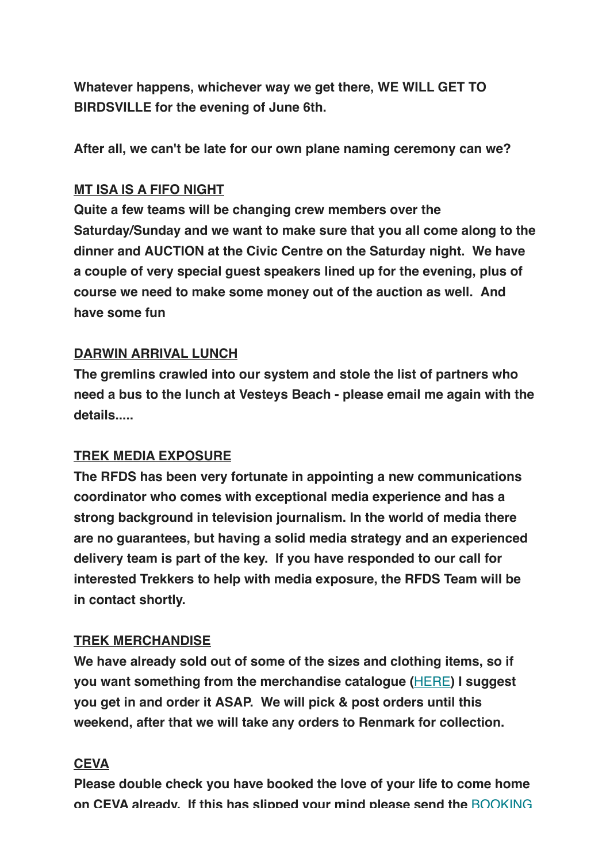**Whatever happens, whichever way we get there, WE WILL GET TO BIRDSVILLE for the evening of June 6th.**

**After all, we can't be late for our own plane naming ceremony can we?**

### **MT ISA IS A FIFO NIGHT**

**Quite a few teams will be changing crew members over the Saturday/Sunday and we want to make sure that you all come along to the dinner and AUCTION at the Civic Centre on the Saturday night. We have a couple of very special guest speakers lined up for the evening, plus of course we need to make some money out of the auction as well. And have some fun**

## **DARWIN ARRIVAL LUNCH**

**The gremlins crawled into our system and stole the list of partners who need a bus to the lunch at Vesteys Beach - please email me again with the details.....**

# **TREK MEDIA EXPOSURE**

**The RFDS has been very fortunate in appointing a new communications coordinator who comes with exceptional media experience and has a strong background in television journalism. In the world of media there are no guarantees, but having a solid media strategy and an experienced delivery team is part of the key. If you have responded to our call for interested Trekkers to help with media exposure, the RFDS Team will be in contact shortly.**

# **TREK MERCHANDISE**

**We have already sold out of some of the sizes and clothing items, so if you want something from the merchandise catalogue (**[HERE](https://outbackcartrek.us14.list-manage.com/track/click?u=4856abc86aa4736df4661f58b&id=e40facaca1&e=2b4b458c87)**) I suggest you get in and order it ASAP. We will pick & post orders until this weekend, after that we will take any orders to Renmark for collection.**

# **CEVA**

**Please double check you have booked the love of your life to come home [on CEVA already. If this has slipped your mind please send the](https://outbackcartrek.us14.list-manage.com/track/click?u=4856abc86aa4736df4661f58b&id=d4834c0f99&e=2b4b458c87)** BOOKING